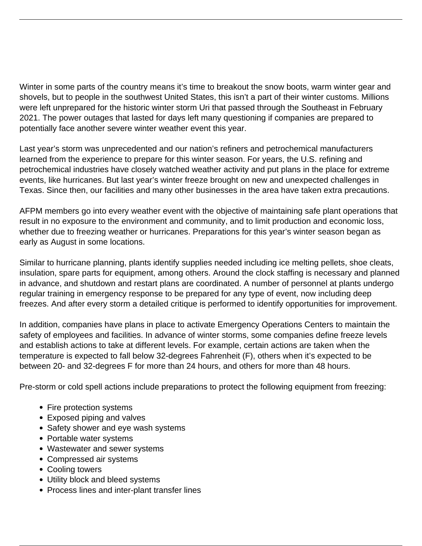Winter in some parts of the country means it's time to breakout the snow boots, warm winter gear and shovels, but to people in the southwest United States, this isn't a part of their winter customs. Millions were left unprepared for the historic winter storm Uri that passed through the Southeast in February 2021. The power outages that lasted for days left many questioning if companies are prepared to potentially face another severe winter weather event this year.

Last year's storm was unprecedented and our nation's refiners and petrochemical manufacturers learned from the experience to prepare for this winter season. For years, the U.S. refining and petrochemical industries have closely watched weather activity and put plans in the place for extreme events, like hurricanes. But last year's winter freeze brought on new and unexpected challenges in Texas. Since then, our facilities and many other businesses in the area have taken extra precautions.

AFPM members go into every weather event with the objective of maintaining safe plant operations that result in no exposure to the environment and community, and to limit production and economic loss, whether due to freezing weather or hurricanes. Preparations for this year's winter season began as early as August in some locations.

Similar to hurricane planning, plants identify supplies needed including ice melting pellets, shoe cleats, insulation, spare parts for equipment, among others. Around the clock staffing is necessary and planned in advance, and shutdown and restart plans are coordinated. A number of personnel at plants undergo regular training in emergency response to be prepared for any type of event, now including deep freezes. And after every storm a detailed critique is performed to identify opportunities for improvement.

In addition, companies have plans in place to activate Emergency Operations Centers to maintain the safety of employees and facilities. In advance of winter storms, some companies define freeze levels and establish actions to take at different levels. For example, certain actions are taken when the temperature is expected to fall below 32-degrees Fahrenheit (F), others when it's expected to be between 20- and 32-degrees F for more than 24 hours, and others for more than 48 hours.

Pre-storm or cold spell actions include preparations to protect the following equipment from freezing:

- Fire protection systems
- Exposed piping and valves
- Safety shower and eye wash systems
- Portable water systems
- Wastewater and sewer systems
- Compressed air systems
- Cooling towers
- Utility block and bleed systems
- Process lines and inter-plant transfer lines